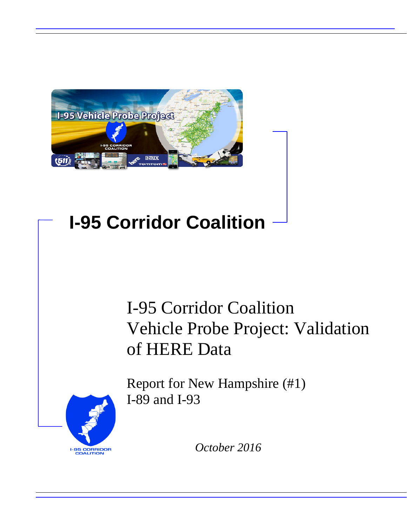

## **I-95 Corridor Coalition**

## I-95 Corridor Coalition Vehicle Probe Project: Validation of HERE Data



Report for New Hampshire (#1) I-89 and I-93

*October 2016*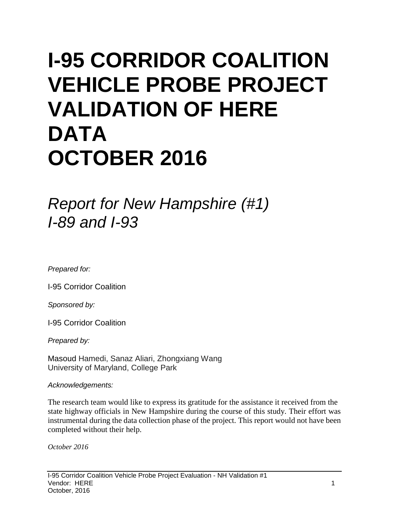# **I-95 CORRIDOR COALITION VEHICLE PROBE PROJECT VALIDATION OF HERE DATA OCTOBER 2016**

*Report for New Hampshire (#1) I-89 and I-93*

*Prepared for:*

I-95 Corridor Coalition

*Sponsored by:*

I-95 Corridor Coalition

*Prepared by:*

Masoud Hamedi, Sanaz Aliari, Zhongxiang Wang University of Maryland, College Park

#### *Acknowledgements:*

The research team would like to express its gratitude for the assistance it received from the state highway officials in New Hampshire during the course of this study. Their effort was instrumental during the data collection phase of the project. This report would not have been completed without their help.

*October 2016*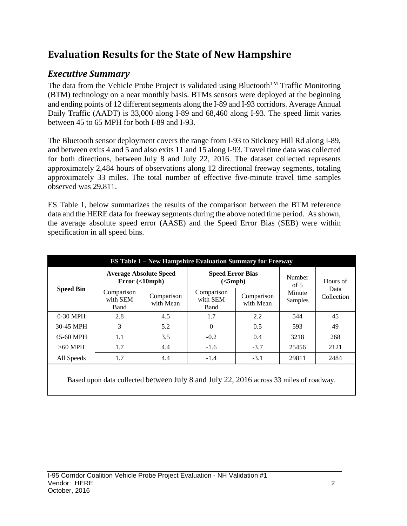## **Evaluation Results for the State of New Hampshire**

## *Executive Summary*

The data from the Vehicle Probe Project is validated using Bluetooth<sup>TM</sup> Traffic Monitoring (BTM) technology on a near monthly basis. BTMs sensors were deployed at the beginning and ending points of 12 different segments along the I-89 and I-93 corridors. Average Annual Daily Traffic (AADT) is 33,000 along I-89 and 68,460 along I-93. The speed limit varies between 45 to 65 MPH for both I-89 and I-93.

The Bluetooth sensor deployment covers the range from I-93 to Stickney Hill Rd along I-89, and between exits 4 and 5 and also exits 11 and 15 along I-93. Travel time data was collected for both directions, between July 8 and July 22, 2016. The dataset collected represents approximately 2,484 hours of observations along 12 directional freeway segments, totaling approximately 33 miles. The total number of effective five-minute travel time samples observed was 29,811.

ES Table 1, below summarizes the results of the comparison between the BTM reference data and the HERE data for freeway segments during the above noted time period. As shown, the average absolute speed error (AASE) and the Speed Error Bias (SEB) were within specification in all speed bins.

| <b>ES Table 1 – New Hampshire Evaluation Summary for Freeway</b> |                                            |                         |                                     |                         |                   |                                |  |  |  |  |
|------------------------------------------------------------------|--------------------------------------------|-------------------------|-------------------------------------|-------------------------|-------------------|--------------------------------|--|--|--|--|
| <b>Speed Bin</b>                                                 | <b>Average Absolute Speed</b><br>Error(<10 |                         | <b>Speed Error Bias</b><br>(<5 mph) |                         | Number<br>of $5$  | Hours of<br>Data<br>Collection |  |  |  |  |
|                                                                  | Comparison<br>with SEM<br><b>Band</b>      | Comparison<br>with Mean | Comparison<br>with SEM<br>Band      | Comparison<br>with Mean | Minute<br>Samples |                                |  |  |  |  |
| $0-30$ MPH                                                       | 2.8                                        | 4.5                     | 1.7                                 | 2.2                     | 544               | 45                             |  |  |  |  |
| 30-45 MPH                                                        | 3                                          | 5.2                     | $\Omega$                            | 0.5                     | 593               | 49                             |  |  |  |  |
| 45-60 MPH                                                        | 1.1                                        | 3.5                     | $-0.2$                              | 0.4                     | 3218              | 268                            |  |  |  |  |
| $>60$ MPH                                                        | 1.7                                        | 4.4                     | $-1.6$                              | $-3.7$                  | 25456             | 2121                           |  |  |  |  |
| All Speeds                                                       | 1.7                                        | 4.4                     | $-1.4$                              | $-3.1$                  | 29811             | 2484                           |  |  |  |  |
|                                                                  |                                            |                         |                                     |                         |                   |                                |  |  |  |  |

Based upon data collected between July 8 and July 22, 2016 across 33 miles of roadway.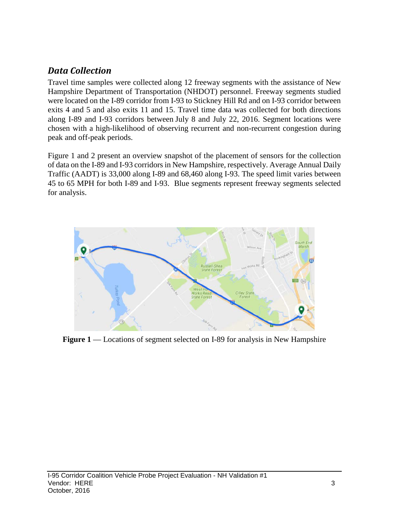### *Data Collection*

Travel time samples were collected along 12 freeway segments with the assistance of New Hampshire Department of Transportation (NHDOT) personnel. Freeway segments studied were located on the I-89 corridor from I-93 to Stickney Hill Rd and on I-93 corridor between exits 4 and 5 and also exits 11 and 15. Travel time data was collected for both directions along I-89 and I-93 corridors between July 8 and July 22, 2016. Segment locations were chosen with a high-likelihood of observing recurrent and non-recurrent congestion during peak and off-peak periods.

Figure 1 and 2 present an overview snapshot of the placement of sensors for the collection of data on the I-89 and I-93 corridors in New Hampshire, respectively. Average Annual Daily Traffic (AADT) is 33,000 along I-89 and 68,460 along I-93. The speed limit varies between 45 to 65 MPH for both I-89 and I-93. Blue segments represent freeway segments selected for analysis.



Figure 1 — Locations of segment selected on I-89 for analysis in New Hampshire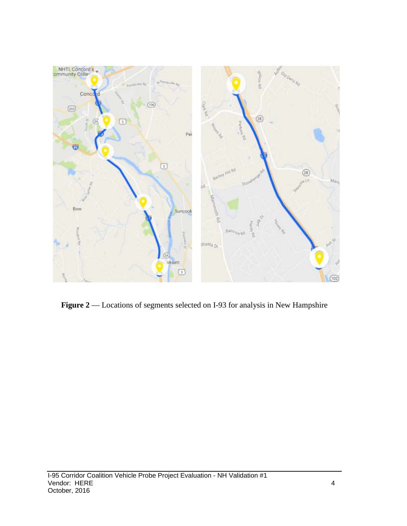

Figure 2 –– Locations of segments selected on I-93 for analysis in New Hampshire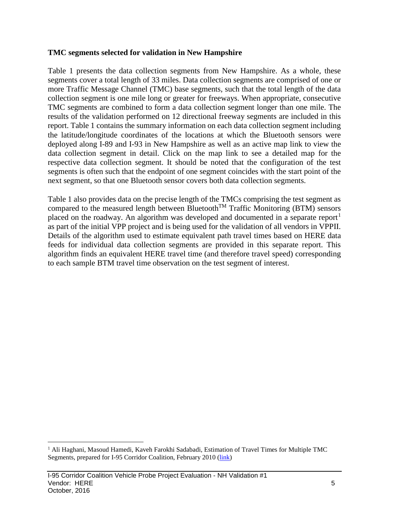#### **TMC segments selected for validation in New Hampshire**

Table 1 presents the data collection segments from New Hampshire. As a whole, these segments cover a total length of 33 miles. Data collection segments are comprised of one or more Traffic Message Channel (TMC) base segments, such that the total length of the data collection segment is one mile long or greater for freeways. When appropriate, consecutive TMC segments are combined to form a data collection segment longer than one mile. The results of the validation performed on 12 directional freeway segments are included in this report. Table 1 contains the summary information on each data collection segment including the latitude/longitude coordinates of the locations at which the Bluetooth sensors were deployed along I-89 and I-93 in New Hampshire as well as an active map link to view the data collection segment in detail. Click on the map link to see a detailed map for the respective data collection segment. It should be noted that the configuration of the test segments is often such that the endpoint of one segment coincides with the start point of the next segment, so that one Bluetooth sensor covers both data collection segments.

Table 1 also provides data on the precise length of the TMCs comprising the test segment as compared to the measured length between Bluetooth<sup>TM</sup> Traffic Monitoring (BTM) sensors placed on the roadway. An algorithm was developed and documented in a separate report<sup>[1](#page-5-0)</sup> as part of the initial VPP project and is being used for the validation of all vendors in VPPII. Details of the algorithm used to estimate equivalent path travel times based on HERE data feeds for individual data collection segments are provided in this separate report. This algorithm finds an equivalent HERE travel time (and therefore travel speed) corresponding to each sample BTM travel time observation on the test segment of interest.

<span id="page-5-0"></span><sup>&</sup>lt;sup>1</sup> Ali Haghani, Masoud Hamedi, Kaveh Farokhi Sadabadi, Estimation of Travel Times for Multiple TMC Segments, prepared for I-95 Corridor Coalition, February 2010 [\(link\)](http://www.i95coalition.org/wp-content/uploads/2015/02/I-95-CC-Estimation-of-Travel-Times-for-Multiple-TMC-Segments-FINAL2.pdf)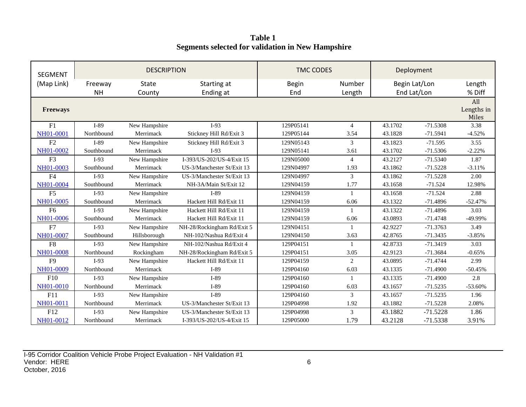**Table 1 Segments selected for validation in New Hampshire**

| <b>SEGMENT</b>  |            | <b>DESCRIPTION</b> |                            | <b>TMC CODES</b> | Deployment     |               |             |                            |
|-----------------|------------|--------------------|----------------------------|------------------|----------------|---------------|-------------|----------------------------|
| (Map Link)      | Freeway    | <b>State</b>       | Starting at                | <b>Begin</b>     | Number         | Begin Lat/Lon |             | Length                     |
|                 | <b>NH</b>  | County             | Ending at                  | End              | Length         |               | End Lat/Lon | % Diff                     |
| <b>Freeways</b> |            |                    |                            |                  |                |               |             | All<br>Lengths in<br>Miles |
| F1              | I-89       | New Hampshire      | $I-93$                     | 129P05141        | $\overline{4}$ | 43.1702       | $-71.5308$  | 3.38                       |
| NH01-0001       | Northbound | Merrimack          | Stickney Hill Rd/Exit 3    | 129P05144        | 3.54           | 43.1828       | $-71.5941$  | $-4.52%$                   |
| F2              | $I-89$     | New Hampshire      | Stickney Hill Rd/Exit 3    | 129N05143        | 3              | 43.1823       | $-71.595$   | 3.55                       |
| NH01-0002       | Southbound | Merrimack          | $I-93$                     | 129N05141        | 3.61           | 43.1702       | $-71.5306$  | $-2.22%$                   |
| F <sub>3</sub>  | $I-93$     | New Hampshire      | I-393/US-202/US-4/Exit 15  | 129N05000        | $\overline{4}$ | 43.2127       | $-71.5340$  | 1.87                       |
| NH01-0003       | Southbound | Merrimack          | US-3/Manchester St/Exit 13 | 129N04997        | 1.93           | 43.1862       | $-71.5228$  | $-3.11%$                   |
| F <sub>4</sub>  | $I-93$     | New Hampshire      | US-3/Manchester St/Exit 13 | 129N04997        | 3              | 43.1862       | $-71.5228$  | 2.00                       |
| NH01-0004       | Southbound | Merrimack          | NH-3A/Main St/Exit 12      | 129N04159        | 1.77           | 43.1658       | $-71.524$   | 12.98%                     |
| F <sub>5</sub>  | $I-93$     | New Hampshire      | I-89                       | 129N04159        | $\mathbf{1}$   | 43.1658       | $-71.524$   | 2.88                       |
| NH01-0005       | Southbound | Merrimack          | Hackett Hill Rd/Exit 11    | 129N04159        | 6.06           | 43.1322       | $-71.4896$  | $-52.47%$                  |
| F <sub>6</sub>  | $I-93$     | New Hampshire      | Hackett Hill Rd/Exit 11    | 129N04159        | $\mathbf{1}$   | 43.1322       | $-71.4896$  | 3.03                       |
| NH01-0006       | Southbound | Merrimack          | Hackett Hill Rd/Exit 11    | 129N04159        | 6.06           | 43.0893       | $-71.4748$  | -49.99%                    |
| F7              | $I-93$     | New Hampshire      | NH-28/Rockingham Rd/Exit 5 | 129N04151        | $\mathbf{1}$   | 42.9227       | $-71.3763$  | 3.49                       |
| NH01-0007       | Southbound | Hillsborough       | NH-102/Nashua Rd/Exit 4    | 129N04150        | 3.63           | 42.8765       | $-71.3435$  | $-3.85%$                   |
| F <sub>8</sub>  | $I-93$     | New Hampshire      | NH-102/Nashua Rd/Exit 4    | 129P04151        | $\mathbf{1}$   | 42.8733       | $-71.3419$  | 3.03                       |
| NH01-0008       | Northbound | Rockingham         | NH-28/Rockingham Rd/Exit 5 | 129P04151        | 3.05           | 42.9123       | $-71.3684$  | $-0.65%$                   |
| F <sub>9</sub>  | $I-93$     | New Hampshire      | Hackett Hill Rd/Exit 11    | 129P04159        | $\overline{2}$ | 43.0895       | $-71.4744$  | 2.99                       |
| NH01-0009       | Northbound | Merrimack          | $I-89$                     | 129P04160        | 6.03           | 43.1335       | $-71.4900$  | $-50.45%$                  |
| F10             | $I-93$     | New Hampshire      | I-89                       | 129P04160        | $\mathbf{1}$   | 43.1335       | $-71.4900$  | 2.8                        |
| NH01-0010       | Northbound | Merrimack          | $I-89$                     | 129P04160        | 6.03           | 43.1657       | $-71.5235$  | $-53.60%$                  |
| F11             | $I-93$     | New Hampshire      | $I-89$                     | 129P04160        | 3              | 43.1657       | $-71.5235$  | 1.96                       |
| NH01-0011       | Northbound | Merrimack          | US-3/Manchester St/Exit 13 | 129P04998        | 1.92           | 43.1882       | $-71.5228$  | 2.08%                      |
| F12             | $I-93$     | New Hampshire      | US-3/Manchester St/Exit 13 | 129P04998        | 3              | 43.1882       | $-71.5228$  | 1.86                       |
| NH01-0012       | Northbound | Merrimack          | I-393/US-202/US-4/Exit 15  | 129P05000        | 1.79           | 43.2128       | $-71.5338$  | 3.91%                      |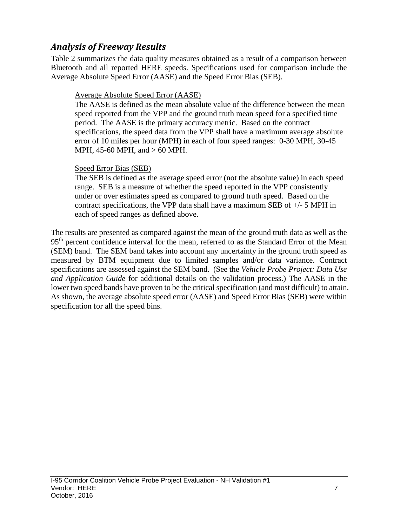### *Analysis of Freeway Results*

Table 2 summarizes the data quality measures obtained as a result of a comparison between Bluetooth and all reported HERE speeds. Specifications used for comparison include the Average Absolute Speed Error (AASE) and the Speed Error Bias (SEB).

#### Average Absolute Speed Error (AASE)

The AASE is defined as the mean absolute value of the difference between the mean speed reported from the VPP and the ground truth mean speed for a specified time period. The AASE is the primary accuracy metric. Based on the contract specifications, the speed data from the VPP shall have a maximum average absolute error of 10 miles per hour (MPH) in each of four speed ranges: 0-30 MPH, 30-45 MPH, 45-60 MPH, and > 60 MPH.

#### Speed Error Bias (SEB)

The SEB is defined as the average speed error (not the absolute value) in each speed range. SEB is a measure of whether the speed reported in the VPP consistently under or over estimates speed as compared to ground truth speed. Based on the contract specifications, the VPP data shall have a maximum SEB of +/- 5 MPH in each of speed ranges as defined above.

The results are presented as compared against the mean of the ground truth data as well as the 95<sup>th</sup> percent confidence interval for the mean, referred to as the Standard Error of the Mean (SEM) band. The SEM band takes into account any uncertainty in the ground truth speed as measured by BTM equipment due to limited samples and/or data variance. Contract specifications are assessed against the SEM band. (See the *Vehicle Probe Project: Data Use and Application Guide* for additional details on the validation process.) The AASE in the lower two speed bands have proven to be the critical specification (and most difficult) to attain. As shown, the average absolute speed error (AASE) and Speed Error Bias (SEB) were within specification for all the speed bins.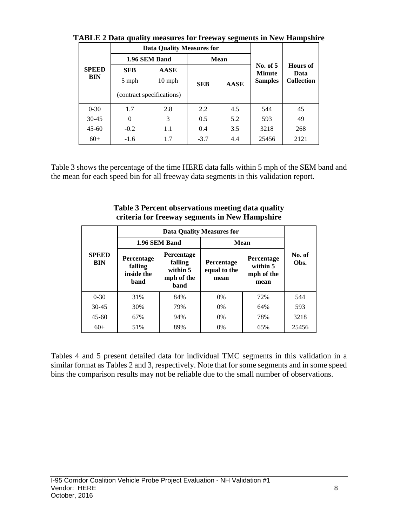|                     |            | <b>Data Quality Measures for</b> |            |                                  |                         |                   |  |
|---------------------|------------|----------------------------------|------------|----------------------------------|-------------------------|-------------------|--|
| <b>SPEED</b><br>BIN |            | 1.96 SEM Band                    |            | <b>Mean</b>                      |                         |                   |  |
|                     | <b>SEB</b> | <b>AASE</b>                      |            | <b>No. of 5</b><br><b>Minute</b> | <b>Hours</b> of<br>Data |                   |  |
|                     | 5 mph      | $10 \text{ mph}$                 | <b>SEB</b> |                                  | <b>Samples</b>          | <b>Collection</b> |  |
|                     |            | (contract specifications)        |            |                                  |                         |                   |  |
| $0 - 30$            | 1.7        | 2.8                              | 2.2        | 4.5                              | 544                     | 45                |  |
| $30 - 45$           | $\theta$   | 3                                | 0.5        | 5.2                              | 593                     | 49                |  |
| $45 - 60$           | $-0.2$     | 1.1                              | 0.4        | 3.5                              | 3218                    | 268               |  |
| $60+$               | $-1.6$     | 1.7                              | $-3.7$     | 4.4                              | 25456                   | 2121              |  |

**TABLE 2 Data quality measures for freeway segments in New Hampshire**

Table 3 shows the percentage of the time HERE data falls within 5 mph of the SEM band and the mean for each speed bin for all freeway data segments in this validation report.

|                            |                                             | 1.96 SEM Band                                                  | Mean                               |                                              |                |  |
|----------------------------|---------------------------------------------|----------------------------------------------------------------|------------------------------------|----------------------------------------------|----------------|--|
| <b>SPEED</b><br><b>BIN</b> | Percentage<br>falling<br>inside the<br>band | <b>Percentage</b><br>falling<br>within 5<br>mph of the<br>band | Percentage<br>equal to the<br>mean | Percentage<br>within 5<br>mph of the<br>mean | No. of<br>Obs. |  |
| $0 - 30$                   | 31%                                         | 84%                                                            | 0%                                 | 72%                                          | 544            |  |
| $30 - 45$                  | 30%                                         | 79%                                                            | $0\%$                              | 64%                                          | 593            |  |
| $45 - 60$                  | 67%                                         | 94%                                                            | 0%                                 | 78%                                          | 3218           |  |
| $60+$                      | 51%                                         | 89%                                                            | 0%                                 | 65%                                          | 25456          |  |

**Table 3 Percent observations meeting data quality criteria for freeway segments in New Hampshire**

Tables 4 and 5 present detailed data for individual TMC segments in this validation in a similar format as Tables 2 and 3, respectively. Note that for some segments and in some speed bins the comparison results may not be reliable due to the small number of observations.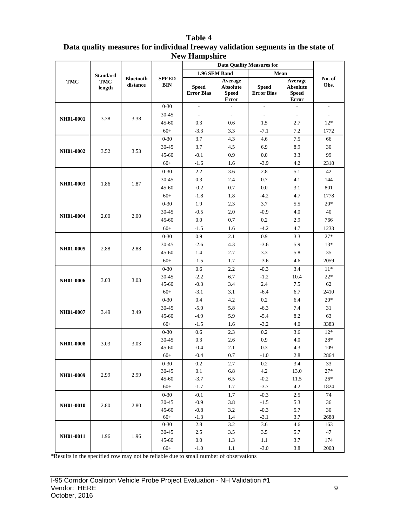|            |                 |                              | $New$ mail point $e$<br><b>Data Quality Measures for</b> |                                   |                                                            |                                   |                                                            |                             |  |
|------------|-----------------|------------------------------|----------------------------------------------------------|-----------------------------------|------------------------------------------------------------|-----------------------------------|------------------------------------------------------------|-----------------------------|--|
|            | <b>Standard</b> |                              |                                                          | 1.96 SEM Band                     |                                                            | Mean                              |                                                            |                             |  |
| <b>TMC</b> | TMC<br>length   | <b>Bluetooth</b><br>distance | <b>SPEED</b><br><b>BIN</b>                               | <b>Speed</b><br><b>Error Bias</b> | Average<br><b>Absolute</b><br><b>Speed</b><br><b>Error</b> | <b>Speed</b><br><b>Error Bias</b> | Average<br><b>Absolute</b><br><b>Speed</b><br><b>Error</b> | No. of<br>Obs.              |  |
|            |                 |                              | $0 - 30$                                                 | $\frac{1}{2}$                     | $\sim$                                                     | $\overline{a}$                    |                                                            | $\overline{\phantom{a}}$    |  |
| NH01-0001  | 3.38            | 3.38                         | 30-45                                                    | $\overline{a}$                    | $\sim$                                                     | $\overline{a}$                    | $\overline{\phantom{a}}$                                   | $\mathcal{L}_{\mathcal{A}}$ |  |
|            |                 |                              | $45 - 60$                                                | 0.3                               | 0.6                                                        | 1.5                               | 2.7                                                        | $12*$                       |  |
|            |                 |                              | $60+$                                                    | $-3.3$                            | 3.3                                                        | $-7.1$                            | 7.2                                                        | 1772                        |  |
|            |                 |                              | $0 - 30$                                                 | 3.7                               | 4.3                                                        | 4.6                               | $7.5\,$                                                    | 66                          |  |
| NH01-0002  | 3.52            | 3.53                         | $30 - 45$                                                | 3.7                               | 4.5                                                        | 6.9                               | 8.9                                                        | 30                          |  |
|            |                 |                              | $45 - 60$                                                | $-0.1$                            | 0.9                                                        | 0.0                               | 3.3                                                        | 99                          |  |
|            |                 |                              | $60+$                                                    | $-1.6$                            | 1.6                                                        | $-3.9$                            | 4.2                                                        | 2318                        |  |
|            |                 |                              | $0 - 30$                                                 | 2.2                               | 3.6                                                        | 2.8                               | 5.1                                                        | 42                          |  |
| NH01-0003  | 1.86            | 1.87                         | 30-45                                                    | 0.3                               | 2.4                                                        | 0.7                               | 4.1                                                        | 144                         |  |
|            |                 |                              | $45 - 60$                                                | $-0.2$                            | 0.7                                                        | 0.0                               | 3.1                                                        | 801                         |  |
|            |                 |                              | $60+$                                                    | $-1.8$                            | 1.8                                                        | $-4.2$                            | 4.7                                                        | 1778                        |  |
|            |                 |                              | $0 - 30$                                                 | 1.9                               | 2.3                                                        | 3.7                               | 5.5                                                        | $20*$                       |  |
| NH01-0004  | 2.00            | 2.00                         | $30 - 45$                                                | $-0.5$                            | 2.0                                                        | $-0.9$                            | 4.0                                                        | 40                          |  |
|            |                 |                              | $45 - 60$                                                | $0.0\,$                           | 0.7                                                        | 0.2                               | 2.9                                                        | 766                         |  |
|            |                 |                              | $60+$                                                    | $-1.5$                            | 1.6                                                        | $-4.2$                            | 4.7                                                        | 1233                        |  |
| NH01-0005  |                 |                              | $0 - 30$                                                 | 0.9                               | 2.1                                                        | 0.9                               | 3.3                                                        | $27*$                       |  |
|            | 2.88            | 2.88                         | 30-45                                                    | $-2.6$                            | 4.3                                                        | $-3.6$                            | 5.9                                                        | $13*$                       |  |
|            |                 |                              | $45 - 60$                                                | 1.4                               | 2.7                                                        | 3.3                               | 5.8                                                        | 35                          |  |
|            |                 |                              | $60+$                                                    | $-1.5$                            | 1.7                                                        | $-3.6$                            | 4.6                                                        | 2059                        |  |
|            |                 |                              | $0 - 30$                                                 | 0.6                               | 2.2                                                        | $-0.3$                            | 3.4                                                        | $11*$                       |  |
| NH01-0006  | 3.03            | 3.03                         | $30 - 45$                                                | $-2.2$                            | 6.7                                                        | $-1.2$                            | 10.4                                                       | $22*$                       |  |
|            |                 |                              | 45-60                                                    | $-0.3$                            | 3.4                                                        | 2.4                               | 7.5                                                        | 62                          |  |
|            |                 |                              | $60+$                                                    | $-3.1$                            | 3.1                                                        | $-6.4$                            | 6.7                                                        | 2410                        |  |
|            |                 |                              | $0 - 30$                                                 | 0.4                               | 4.2                                                        | 0.2                               | 6.4                                                        | $20*$                       |  |
| NH01-0007  | 3.49            | 3.49                         | $30 - 45$<br>$45 - 60$                                   | $-5.0$<br>$-4.9$                  | 5.8<br>5.9                                                 | $-6.3$<br>$-5.4$                  | 7.4<br>8.2                                                 | 31<br>63                    |  |
|            |                 |                              | $60+$                                                    | $-1.5$                            | 1.6                                                        | $-3.2$                            | 4.0                                                        | 3383                        |  |
|            |                 |                              | $0 - 30$                                                 | 0.6                               | 2.3                                                        | 0.2                               | 3.6                                                        | $12*$                       |  |
|            |                 |                              | 30-45                                                    | 0.3                               | 2.6                                                        | 0.9                               | 4.0                                                        | $28*$                       |  |
| NH01-0008  | 3.03            | 3.03                         | $45 - 60$                                                | $-0.4$                            | 2.1                                                        | 0.3                               | 4.3                                                        | 109                         |  |
|            |                 |                              | $60+$                                                    | $-0.4$                            | 0.7                                                        | $\mbox{-}1.0$                     | $2.8\,$                                                    | 2864                        |  |
|            |                 |                              | $0-30$                                                   | 0.2                               | 2.7                                                        | 0.2                               | 3.4                                                        | 33                          |  |
|            |                 |                              | 30-45                                                    | 0.1                               | 6.8                                                        | 4.2                               | 13.0                                                       | $27*$                       |  |
| NH01-0009  | 2.99            | 2.99                         | $45 - 60$                                                | $-3.7$                            | 6.5                                                        | $-0.2$                            | 11.5                                                       | $26*$                       |  |
|            |                 |                              | $60+$                                                    | $-1.7$                            | 1.7                                                        | $-3.7$                            | 4.2                                                        | 1824                        |  |
|            |                 |                              | $0-30$                                                   | $-0.1$                            | 1.7                                                        | $-0.3$                            | 2.5                                                        | 74                          |  |
| NH01-0010  | 2.80            | 2.80                         | 30-45                                                    | $-0.9$                            | 3.8                                                        | $-1.5$                            | 5.3                                                        | 36                          |  |
|            |                 |                              | $45 - 60$                                                | $-0.8$                            | 3.2                                                        | $-0.3$                            | 5.7                                                        | 30                          |  |
|            |                 |                              | $60+$                                                    | $-1.3$                            | 1.4                                                        | $-3.1$                            | 3.7                                                        | 2688                        |  |
|            |                 |                              | $0 - 30$                                                 | 2.8                               | 3.2                                                        | 3.6                               | 4.6                                                        | 163                         |  |
| NH01-0011  | 1.96            | 1.96                         | 30-45                                                    | $2.5\,$                           | $3.5\,$                                                    | $3.5$                             | 5.7                                                        | 47                          |  |
|            |                 |                              | 45-60                                                    | 0.0                               | 1.3                                                        | 1.1                               | 3.7                                                        | 174                         |  |
|            |                 |                              | $60+$                                                    | $-1.0$                            | 1.1                                                        | $-3.0$                            | 3.8                                                        | 2008                        |  |

#### **Table 4 Data quality measures for individual freeway validation segments in the state of New Hampshire**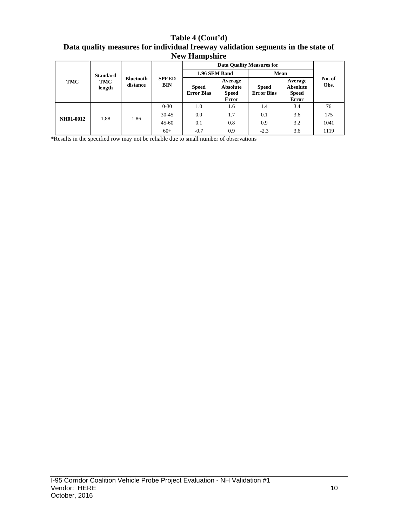**Table 4 (Cont'd) Data quality measures for individual freeway validation segments in the state of New Hampshire**

| TMC              | <b>Standard</b><br>TMC<br>length | <b>Bluetooth</b><br>distance | <b>SPEED</b><br><b>BIN</b> |                                   | 1.96 SEM Band                                              |                                   | Mean                                                |                |  |
|------------------|----------------------------------|------------------------------|----------------------------|-----------------------------------|------------------------------------------------------------|-----------------------------------|-----------------------------------------------------|----------------|--|
|                  |                                  |                              |                            | <b>Speed</b><br><b>Error Bias</b> | Average<br><b>Absolute</b><br><b>Speed</b><br><b>Error</b> | <b>Speed</b><br><b>Error Bias</b> | Average<br>Absolute<br><b>Speed</b><br><b>Error</b> | No. of<br>Obs. |  |
|                  |                                  |                              | $0 - 30$                   | 1.0                               | 1.6                                                        | 1.4                               | 3.4                                                 | 76             |  |
|                  | 1.88                             | 1.86                         | $30 - 45$                  | 0.0                               | 1.7                                                        | 0.1                               | 3.6                                                 | 175            |  |
| <b>NH01-0012</b> |                                  |                              | $45 - 60$                  | 0.1                               | 0.8                                                        | 0.9                               | 3.2                                                 | 1041           |  |
|                  |                                  |                              | $60+$                      | $-0.7$                            | 0.9                                                        | $-2.3$                            | 3.6                                                 | 1119           |  |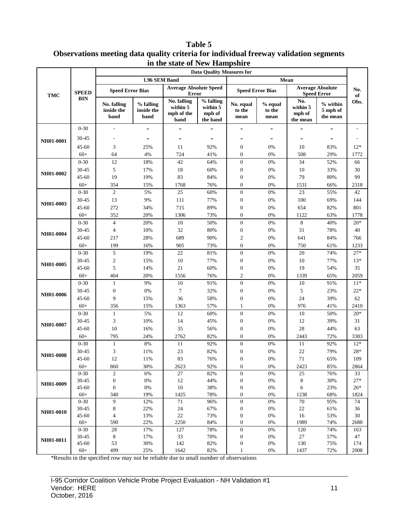**Table 5 Observations meeting data quality criteria for individual freeway validation segments in the state of New Hampshire**

|                        | <b>Data Quality Measures for</b> |                                   |                                 |                                               |                                             |                                      |                           |                                       |                                               |             |
|------------------------|----------------------------------|-----------------------------------|---------------------------------|-----------------------------------------------|---------------------------------------------|--------------------------------------|---------------------------|---------------------------------------|-----------------------------------------------|-------------|
|                        |                                  |                                   | 1.96 SEM Band                   |                                               |                                             |                                      | Mean                      |                                       |                                               |             |
| <b>TMC</b>             | <b>SPEED</b>                     | <b>Speed Error Bias</b>           |                                 | <b>Average Absolute Speed</b><br><b>Error</b> |                                             | <b>Speed Error Bias</b>              |                           |                                       | <b>Average Absolute</b><br><b>Speed Error</b> | No.<br>of   |
|                        | <b>BIN</b>                       | No. falling<br>inside the<br>band | % falling<br>inside the<br>band | No. falling<br>within 5<br>mph of the<br>band | % falling<br>within 5<br>mph of<br>the band | No. equal<br>to the<br>mean          | % equal<br>to the<br>mean | No.<br>within 5<br>mph of<br>the mean | % within<br>5 mph of<br>the mean              | Obs.        |
|                        | $0 - 30$                         | $\overline{\phantom{a}}$          | $\overline{a}$                  |                                               |                                             | $\overline{a}$                       | $\overline{a}$            |                                       | $\overline{a}$                                |             |
|                        | 30-45                            | $\overline{\phantom{a}}$          | $\overline{a}$                  |                                               | -                                           |                                      | -                         |                                       | $\overline{a}$                                |             |
| NH01-0001              | $45 - 60$                        | 3                                 | 25%                             | 11                                            | 92%                                         | $\boldsymbol{0}$                     | 0%                        | 10                                    | 83%                                           | $12*$       |
|                        | $60+$                            | 64                                | 4%                              | 724                                           | 41%                                         | $\boldsymbol{0}$                     | 0%                        | 508                                   | 29%                                           | 1772        |
|                        | $0 - 30$                         | 12                                | 18%                             | 42                                            | 64%                                         | $\boldsymbol{0}$                     | 0%                        | 34                                    | 52%                                           | 66          |
|                        | 30-45                            | 5                                 | 17%                             | 18                                            | 60%                                         | $\boldsymbol{0}$                     | 0%                        | 10                                    | 33%                                           | 30          |
| NH01-0002              | 45-60                            | 19                                | 19%                             | 83                                            | 84%                                         | $\boldsymbol{0}$                     | 0%                        | 79                                    | 80%                                           | 99          |
|                        | $60+$                            | 354                               | 15%                             | 1768                                          | 76%                                         | $\boldsymbol{0}$                     | 0%                        | 1531                                  | 66%                                           | 2318        |
|                        | $0 - 30$                         | $\overline{c}$                    | 5%                              | 25                                            | 60%                                         | $\boldsymbol{0}$                     | 0%                        | 23                                    | 55%                                           | 42          |
|                        | 30-45                            | 13                                | 9%                              | 111                                           | 77%                                         | $\boldsymbol{0}$                     | 0%                        | 100                                   | 69%                                           | 144         |
| NH01-0003              | $45 - 60$                        | 272                               | 34%                             | 715                                           | 89%                                         | $\boldsymbol{0}$                     | 0%                        | 654                                   | 82%                                           | 801         |
|                        | $60+$                            | 352                               | 20%                             | 1306                                          | 73%                                         | $\boldsymbol{0}$                     | 0%                        | 1122                                  | 63%                                           | 1778        |
| NH01-0004              | $0 - 30$                         | $\overline{4}$                    | 20%                             | 10                                            | 50%                                         | $\boldsymbol{0}$                     | 0%                        | 8                                     | 40%                                           | $20*$       |
|                        | 30-45                            | $\overline{4}$                    | 10%                             | 32                                            | 80%                                         | $\boldsymbol{0}$                     | 0%                        | 31                                    | 78%                                           | 40          |
|                        | 45-60                            | 217                               | 28%                             | 689                                           | 90%                                         | $\sqrt{2}$                           | 0%                        | 641                                   | 84%                                           | 766         |
|                        | $60+$                            | 199                               | 16%                             | 905                                           | 73%                                         | $\boldsymbol{0}$                     | 0%                        | 750                                   | 61%                                           | 1233        |
| NH01-0005              | $0 - 30$                         | 5                                 | 19%                             | $22\,$                                        | 81%                                         | $\boldsymbol{0}$                     | 0%                        | $20\,$                                | 74%                                           | $27*$       |
|                        | 30-45                            | $\sqrt{2}$                        | 15%                             | 10                                            | 77%                                         | $\boldsymbol{0}$                     | 0%                        | 10                                    | 77%                                           | $13*$       |
|                        | 45-60                            | 5                                 | 14%                             | 21                                            | 60%                                         | $\boldsymbol{0}$                     | 0%                        | 19                                    | 54%                                           | 35          |
|                        | $60+$                            | 404                               | 20%                             | 1556                                          | 76%                                         | $\sqrt{2}$                           | 0%                        | 1339                                  | 65%                                           | 2059        |
|                        | $0 - 30$                         | $\mathbf{1}$                      | 9%                              | 10                                            | 91%                                         | $\mathbf{0}$                         | 0%                        | 10                                    | 91%                                           | $11*$       |
|                        | 30-45                            | $\boldsymbol{0}$                  | 0%                              | $\tau$                                        | 32%                                         | $\boldsymbol{0}$                     | 0%                        | 5                                     | 23%                                           | $22*$       |
|                        | 45-60                            | 9                                 | 15%                             | 36                                            | 58%                                         | $\boldsymbol{0}$                     | 0%                        | 24                                    | 39%                                           | 62          |
|                        | $60+$                            | 356                               | 15%                             | 1363                                          | 57%                                         | $\mathbf{1}$                         | 0%                        | 976                                   | 41%                                           | 2410        |
|                        | $0 - 30$                         | $\mathbf{1}$                      | 5%                              | 12                                            | 60%                                         | $\boldsymbol{0}$                     | 0%                        | 10                                    | 50%                                           | $20*$       |
|                        | 30-45                            | 3                                 | 10%                             | 14                                            | 45%                                         | $\boldsymbol{0}$                     | 0%                        | 12                                    | 39%                                           | 31          |
|                        | 45-60                            | 10                                | 16%                             | 35                                            | 56%                                         | $\boldsymbol{0}$                     | 0%                        | $28\,$                                | 44%                                           | 63          |
| NH01-0006<br>NH01-0007 | $60+$                            | 795                               | 24%                             | 2762                                          | 82%                                         | $\boldsymbol{0}$                     | 0%                        | 2443                                  | 72%                                           | 3383        |
|                        | $0 - 30$                         | $\mathbf{1}$                      | 8%                              | 11                                            | 92%                                         | $\boldsymbol{0}$                     | 0%                        | 11                                    | 92%                                           | $12*$       |
| NH01-0008              | 30-45                            | 3                                 | 11%                             | 23                                            | 82%                                         | $\boldsymbol{0}$                     | 0%                        | 22                                    | 79%                                           | 28*         |
|                        | 45-60                            | 12                                | 11%                             | 83                                            | 76%                                         | $\boldsymbol{0}$                     | 0%                        | 71                                    | 65%                                           | 109         |
|                        | $60+$                            | 860                               | 30%                             | 2623                                          | 92%                                         | $\boldsymbol{0}$                     | $0\%$                     | 2423                                  | 85%                                           | 2864        |
|                        | $0 - 30$<br>30-45                | $\mathbf{2}$<br>$\boldsymbol{0}$  | 6%<br>0%                        | 27<br>12                                      | 82%<br>44%                                  | $\boldsymbol{0}$<br>$\boldsymbol{0}$ | 0%<br>0%                  | 25<br>$\,8\,$                         | 76%<br>30%                                    | 33<br>$27*$ |
| NH01-0009              | 45-60                            | $\boldsymbol{0}$                  | 0%                              | 10                                            | 38%                                         | $\boldsymbol{0}$                     | 0%                        | 6                                     | 23%                                           | $26*$       |
|                        | $60+$                            | 340                               | 19%                             | 1425                                          | 78%                                         | $\boldsymbol{0}$                     | 0%                        | 1238                                  | 68%                                           | 1824        |
|                        | $0 - 30$                         | 9                                 | 12%                             | 71                                            | 96%                                         | $\boldsymbol{0}$                     | 0%                        | 70                                    | 95%                                           | 74          |
| NH01-0010              | 30-45                            | 8                                 | 22%                             | 24                                            | 67%                                         | $\boldsymbol{0}$                     | 0%                        | 22                                    | 61%                                           | 36          |
|                        | 45-60                            | $\overline{4}$                    | 13%                             | $22\,$                                        | 73%                                         | $\boldsymbol{0}$                     | 0%                        | 16                                    | 53%                                           | 30          |
|                        | $60+$                            | 590                               | 22%                             | 2250                                          | 84%                                         | $\boldsymbol{0}$                     | 0%                        | 1989                                  | 74%                                           | 2688        |
|                        | $0 - 30$                         | 28                                | 17%                             | 127                                           | 78%                                         | $\boldsymbol{0}$                     | 0%                        | 120                                   | 74%                                           | 163         |
| NH01-0011              | 30-45                            | 8                                 | 17%                             | 33                                            | 70%                                         | $\boldsymbol{0}$                     | 0%                        | 27                                    | 57%                                           | 47          |
|                        | 45-60                            | 53<br>499                         | 30%                             | 142                                           | 82%<br>82%                                  | $\boldsymbol{0}$                     | 0%<br>0%                  | 130                                   | 75%                                           | 174<br>2008 |
|                        | $60+$                            |                                   | 25%                             | 1642                                          |                                             | $\mathbf{1}$                         |                           | 1437                                  | 72%                                           |             |